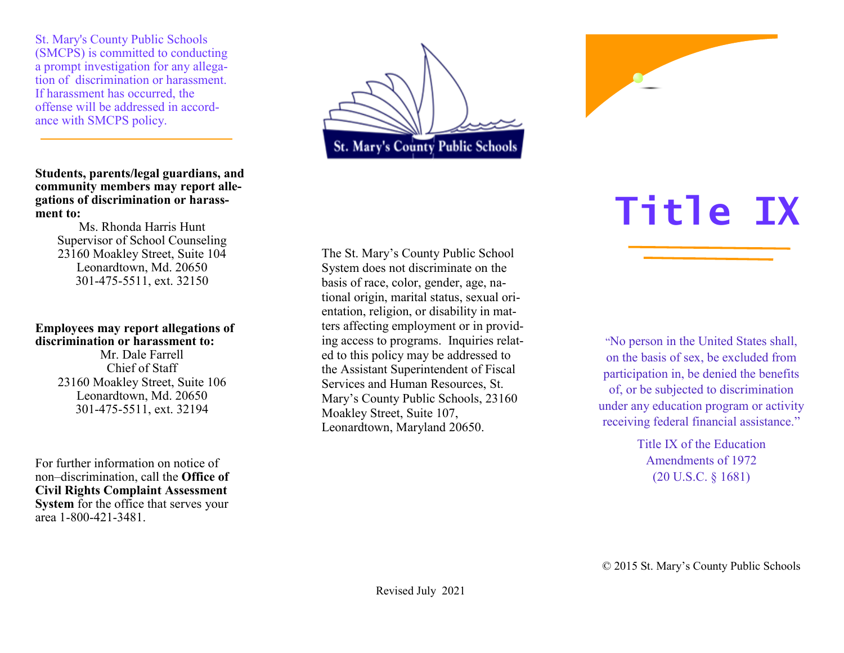St. Mary's County Public Schools (SMCPS) is committed to conducting a prompt investigation for any allegation of discrimination or harassment. If harassment has occurred, the offense will be addressed in accordance with SMCPS policy.

**Students, parents/legal guardians, and community members may report allegations of discrimination or harassment to:**

Ms. Rhonda Harris Hunt Supervisor of School Counseling 23160 Moakley Street, Suite 104 Leonardtown, Md. 20650 301-475-5511, ext. 32150

#### **Employees may report allegations of discrimination or harassment to:**

Mr. Dale Farrell Chief of Staff 23160 Moakley Street, Suite 106 Leonardtown, Md. 20650 301-475-5511, ext. 32194

For further information on notice of non–discrimination, call the **Office of Civil Rights Complaint Assessment System** for the office that serves your area 1-800-421-3481.



The St. Mary's County Public School System does not discriminate on the basis of race, color, gender, age, national origin, marital status, sexual orientation, religion, or disability in matters affecting employment or in providing access to programs. Inquiries related to this policy may be addressed to the Assistant Superintendent of Fiscal Services and Human Resources, St. Mary's County Public Schools, 23160 Moakley Street, Suite 107, Leonardtown, Maryland 20650.



"No person in the United States shall, on the basis of sex, be excluded from participation in, be denied the benefits of, or be subjected to discrimination under any education program or activity receiving federal financial assistance."

> Title IX of the Education Amendments of 1972 (20 U.S.C. § 1681)

© 2015 St. Mary's County Public Schools